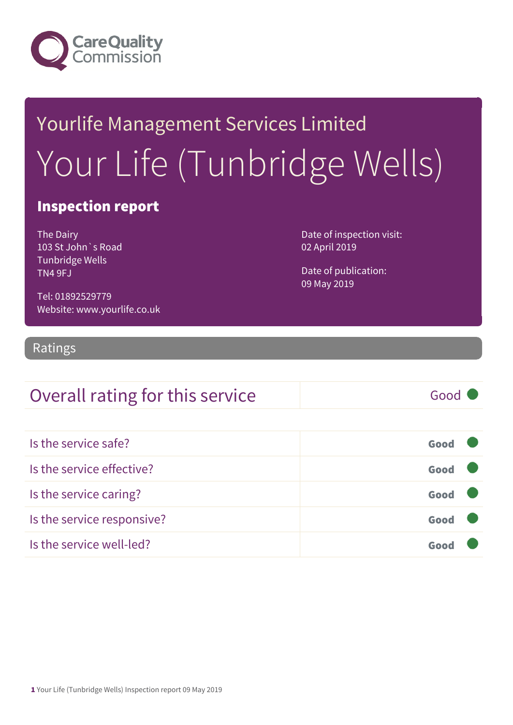

## Yourlife Management Services Limited Your Life (Tunbridge Wells)

#### Inspection report

The Dairy 103 St John`s Road Tunbridge Wells TN4 9FJ

Date of inspection visit: 02 April 2019

Date of publication: 09 May 2019

Tel: 01892529779 Website: www.yourlife.co.uk

#### Ratings

### Overall rating for this service Good

| Is the service safe?       | Good |  |
|----------------------------|------|--|
| Is the service effective?  | Good |  |
| Is the service caring?     | Good |  |
| Is the service responsive? | Good |  |
| Is the service well-led?   |      |  |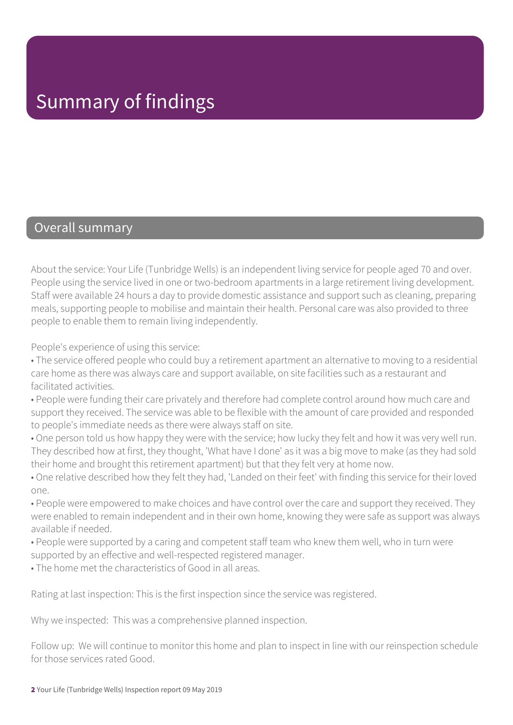#### Overall summary

About the service: Your Life (Tunbridge Wells) is an independent living service for people aged 70 and over. People using the service lived in one or two-bedroom apartments in a large retirement living development. Staff were available 24 hours a day to provide domestic assistance and support such as cleaning, preparing meals, supporting people to mobilise and maintain their health. Personal care was also provided to three people to enable them to remain living independently.

People's experience of using this service:

- The service offered people who could buy a retirement apartment an alternative to moving to a residential care home as there was always care and support available, on site facilities such as a restaurant and facilitated activities.
- People were funding their care privately and therefore had complete control around how much care and support they received. The service was able to be flexible with the amount of care provided and responded to people's immediate needs as there were always staff on site.
- One person told us how happy they were with the service; how lucky they felt and how it was very well run. They described how at first, they thought, 'What have I done' as it was a big move to make (as they had sold their home and brought this retirement apartment) but that they felt very at home now.
- One relative described how they felt they had, 'Landed on their feet' with finding this service for their loved one.
- People were empowered to make choices and have control over the care and support they received. They were enabled to remain independent and in their own home, knowing they were safe as support was always available if needed.
- People were supported by a caring and competent staff team who knew them well, who in turn were supported by an effective and well-respected registered manager.
- The home met the characteristics of Good in all areas.

Rating at last inspection: This is the first inspection since the service was registered.

Why we inspected: This was a comprehensive planned inspection.

Follow up: We will continue to monitor this home and plan to inspect in line with our reinspection schedule for those services rated Good.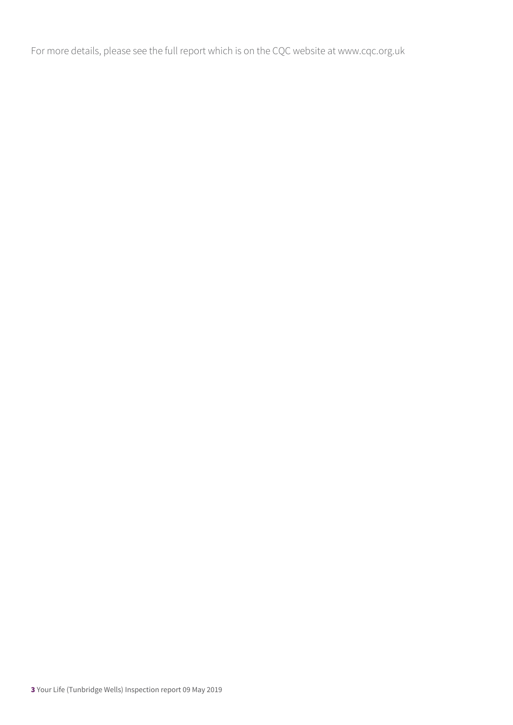For more details, please see the full report which is on the CQC website at www.cqc.org.uk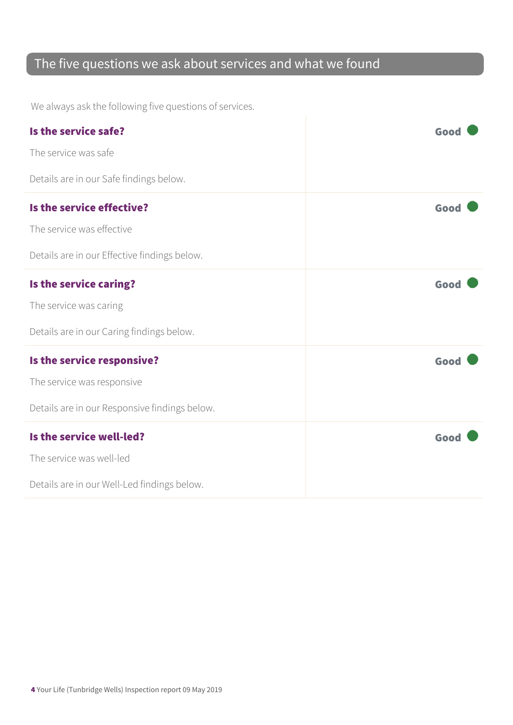### The five questions we ask about services and what we found

We always ask the following five questions of services.

| Is the service safe?<br>The service was safe                                                              | Good |
|-----------------------------------------------------------------------------------------------------------|------|
| Details are in our Safe findings below.                                                                   |      |
| Is the service effective?<br>The service was effective<br>Details are in our Effective findings below.    | Good |
| Is the service caring?<br>The service was caring<br>Details are in our Caring findings below.             | Good |
| Is the service responsive?<br>The service was responsive<br>Details are in our Responsive findings below. | Good |
| Is the service well-led?<br>The service was well-led<br>Details are in our Well-Led findings below.       | Good |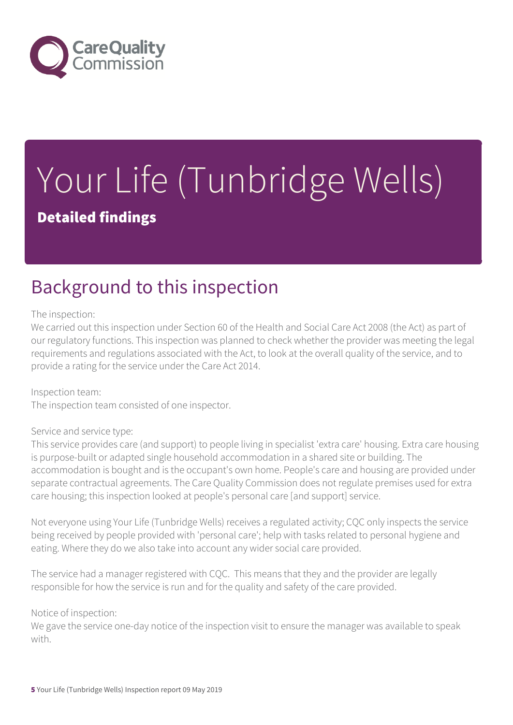

# Your Life (Tunbridge Wells)

Detailed findings

### Background to this inspection

The inspection:

We carried out this inspection under Section 60 of the Health and Social Care Act 2008 (the Act) as part of our regulatory functions. This inspection was planned to check whether the provider was meeting the legal requirements and regulations associated with the Act, to look at the overall quality of the service, and to provide a rating for the service under the Care Act 2014.

Inspection team: The inspection team consisted of one inspector.

#### Service and service type:

This service provides care (and support) to people living in specialist 'extra care' housing. Extra care housing is purpose-built or adapted single household accommodation in a shared site or building. The accommodation is bought and is the occupant's own home. People's care and housing are provided under separate contractual agreements. The Care Quality Commission does not regulate premises used for extra care housing; this inspection looked at people's personal care [and support] service.

Not everyone using Your Life (Tunbridge Wells) receives a regulated activity; CQC only inspects the service being received by people provided with 'personal care'; help with tasks related to personal hygiene and eating. Where they do we also take into account any wider social care provided.

The service had a manager registered with CQC. This means that they and the provider are legally responsible for how the service is run and for the quality and safety of the care provided.

Notice of inspection:

We gave the service one-day notice of the inspection visit to ensure the manager was available to speak with.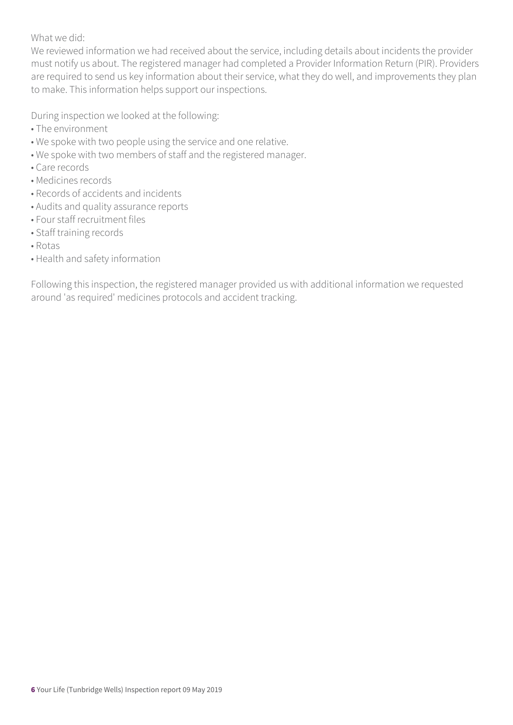What we did:

We reviewed information we had received about the service, including details about incidents the provider must notify us about. The registered manager had completed a Provider Information Return (PIR). Providers are required to send us key information about their service, what they do well, and improvements they plan to make. This information helps support our inspections.

During inspection we looked at the following:

- The environment
- We spoke with two people using the service and one relative.
- We spoke with two members of staff and the registered manager.
- Care records
- Medicines records
- Records of accidents and incidents
- Audits and quality assurance reports
- Four staff recruitment files
- Staff training records
- Rotas
- Health and safety information

Following this inspection, the registered manager provided us with additional information we requested around 'as required' medicines protocols and accident tracking.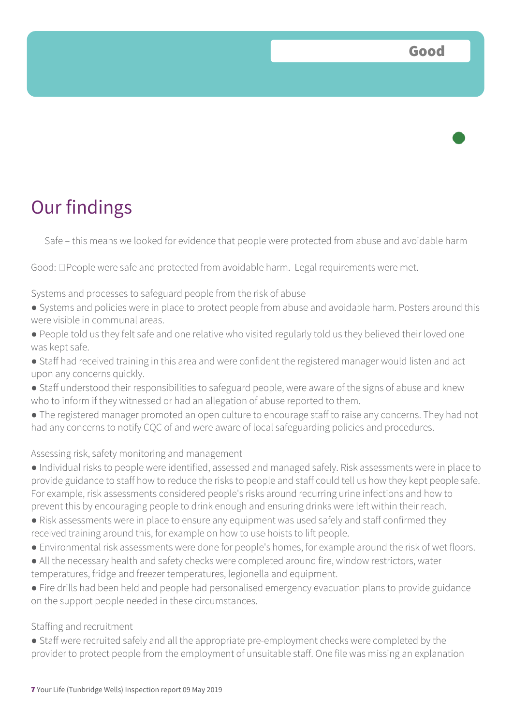

Safe – this means we looked for evidence that people were protected from abuse and avoidable harm

Good:  $\Box$  People were safe and protected from avoidable harm. Legal requirements were met.

Systems and processes to safeguard people from the risk of abuse

- Systems and policies were in place to protect people from abuse and avoidable harm. Posters around this were visible in communal areas.
- People told us they felt safe and one relative who visited regularly told us they believed their loved one was kept safe.
- Staff had received training in this area and were confident the registered manager would listen and act upon any concerns quickly.
- Staff understood their responsibilities to safeguard people, were aware of the signs of abuse and knew who to inform if they witnessed or had an allegation of abuse reported to them.
- The registered manager promoted an open culture to encourage staff to raise any concerns. They had not had any concerns to notify CQC of and were aware of local safeguarding policies and procedures.

#### Assessing risk, safety monitoring and management

- Individual risks to people were identified, assessed and managed safely. Risk assessments were in place to provide guidance to staff how to reduce the risks to people and staff could tell us how they kept people safe. For example, risk assessments considered people's risks around recurring urine infections and how to prevent this by encouraging people to drink enough and ensuring drinks were left within their reach.
- Risk assessments were in place to ensure any equipment was used safely and staff confirmed they received training around this, for example on how to use hoists to lift people.
- Environmental risk assessments were done for people's homes, for example around the risk of wet floors.
- All the necessary health and safety checks were completed around fire, window restrictors, water temperatures, fridge and freezer temperatures, legionella and equipment.
- Fire drills had been held and people had personalised emergency evacuation plans to provide guidance on the support people needed in these circumstances.

#### Staffing and recruitment

● Staff were recruited safely and all the appropriate pre-employment checks were completed by the provider to protect people from the employment of unsuitable staff. One file was missing an explanation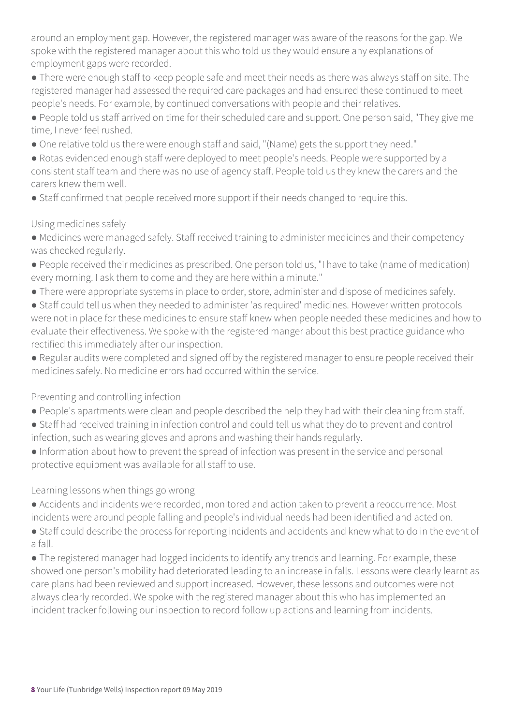around an employment gap. However, the registered manager was aware of the reasons for the gap. We spoke with the registered manager about this who told us they would ensure any explanations of employment gaps were recorded.

● There were enough staff to keep people safe and meet their needs as there was always staff on site. The registered manager had assessed the required care packages and had ensured these continued to meet people's needs. For example, by continued conversations with people and their relatives.

● People told us staff arrived on time for their scheduled care and support. One person said, "They give me time, I never feel rushed.

● One relative told us there were enough staff and said, "(Name) gets the support they need."

● Rotas evidenced enough staff were deployed to meet people's needs. People were supported by a consistent staff team and there was no use of agency staff. People told us they knew the carers and the carers knew them well.

• Staff confirmed that people received more support if their needs changed to require this.

Using medicines safely

- Medicines were managed safely. Staff received training to administer medicines and their competency was checked regularly.
- People received their medicines as prescribed. One person told us, "I have to take (name of medication) every morning. I ask them to come and they are here within a minute."
- There were appropriate systems in place to order, store, administer and dispose of medicines safely.
- Staff could tell us when they needed to administer 'as required' medicines. However written protocols were not in place for these medicines to ensure staff knew when people needed these medicines and how to evaluate their effectiveness. We spoke with the registered manger about this best practice guidance who rectified this immediately after our inspection.
- Regular audits were completed and signed off by the registered manager to ensure people received their medicines safely. No medicine errors had occurred within the service.

Preventing and controlling infection

- People's apartments were clean and people described the help they had with their cleaning from staff.
- Staff had received training in infection control and could tell us what they do to prevent and control infection, such as wearing gloves and aprons and washing their hands regularly.
- Information about how to prevent the spread of infection was present in the service and personal protective equipment was available for all staff to use.

Learning lessons when things go wrong

- Accidents and incidents were recorded, monitored and action taken to prevent a reoccurrence. Most incidents were around people falling and people's individual needs had been identified and acted on.
- Staff could describe the process for reporting incidents and accidents and knew what to do in the event of a fall.

● The registered manager had logged incidents to identify any trends and learning. For example, these showed one person's mobility had deteriorated leading to an increase in falls. Lessons were clearly learnt as care plans had been reviewed and support increased. However, these lessons and outcomes were not always clearly recorded. We spoke with the registered manager about this who has implemented an incident tracker following our inspection to record follow up actions and learning from incidents.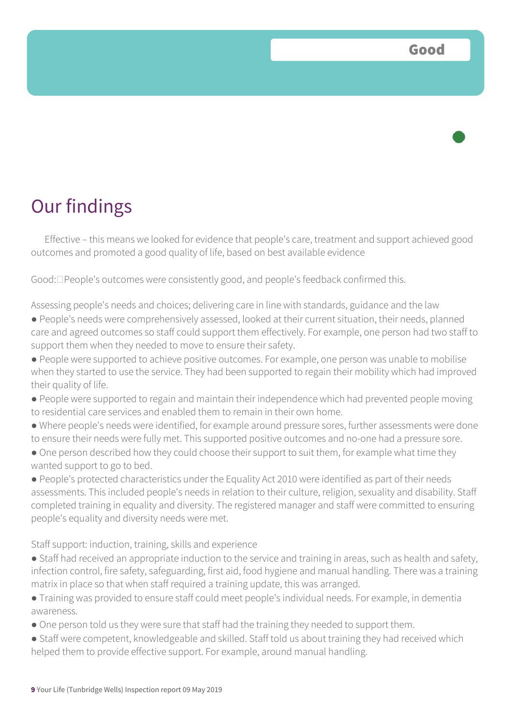### Our findings

Effective – this means we looked for evidence that people's care, treatment and support achieved good outcomes and promoted a good quality of life, based on best available evidence

Good:  $\Box$  People's outcomes were consistently good, and people's feedback confirmed this.

Assessing people's needs and choices; delivering care in line with standards, guidance and the law

- People's needs were comprehensively assessed, looked at their current situation, their needs, planned care and agreed outcomes so staff could support them effectively. For example, one person had two staff to support them when they needed to move to ensure their safety.
- People were supported to achieve positive outcomes. For example, one person was unable to mobilise when they started to use the service. They had been supported to regain their mobility which had improved their quality of life.
- People were supported to regain and maintain their independence which had prevented people moving to residential care services and enabled them to remain in their own home.
- Where people's needs were identified, for example around pressure sores, further assessments were done to ensure their needs were fully met. This supported positive outcomes and no-one had a pressure sore.
- One person described how they could choose their support to suit them, for example what time they wanted support to go to bed.
- People's protected characteristics under the Equality Act 2010 were identified as part of their needs assessments. This included people's needs in relation to their culture, religion, sexuality and disability. Staff completed training in equality and diversity. The registered manager and staff were committed to ensuring people's equality and diversity needs were met.

Staff support: induction, training, skills and experience

- Staff had received an appropriate induction to the service and training in areas, such as health and safety, infection control, fire safety, safeguarding, first aid, food hygiene and manual handling. There was a training matrix in place so that when staff required a training update, this was arranged.
- Training was provided to ensure staff could meet people's individual needs. For example, in dementia awareness.
- One person told us they were sure that staff had the training they needed to support them.
- Staff were competent, knowledgeable and skilled. Staff told us about training they had received which helped them to provide effective support. For example, around manual handling.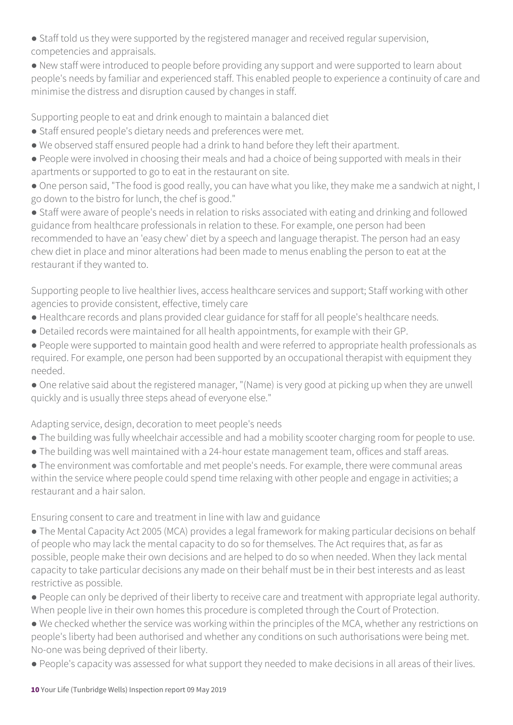- Staff told us they were supported by the registered manager and received regular supervision, competencies and appraisals.
- New staff were introduced to people before providing any support and were supported to learn about people's needs by familiar and experienced staff. This enabled people to experience a continuity of care and minimise the distress and disruption caused by changes in staff.

Supporting people to eat and drink enough to maintain a balanced diet

- Staff ensured people's dietary needs and preferences were met.
- We observed staff ensured people had a drink to hand before they left their apartment.
- People were involved in choosing their meals and had a choice of being supported with meals in their apartments or supported to go to eat in the restaurant on site.
- One person said, "The food is good really, you can have what you like, they make me a sandwich at night, I go down to the bistro for lunch, the chef is good."

● Staff were aware of people's needs in relation to risks associated with eating and drinking and followed guidance from healthcare professionals in relation to these. For example, one person had been recommended to have an 'easy chew' diet by a speech and language therapist. The person had an easy chew diet in place and minor alterations had been made to menus enabling the person to eat at the restaurant if they wanted to.

Supporting people to live healthier lives, access healthcare services and support; Staff working with other agencies to provide consistent, effective, timely care

- Healthcare records and plans provided clear guidance for staff for all people's healthcare needs.
- Detailed records were maintained for all health appointments, for example with their GP.
- People were supported to maintain good health and were referred to appropriate health professionals as required. For example, one person had been supported by an occupational therapist with equipment they needed.
- One relative said about the registered manager, "(Name) is very good at picking up when they are unwell quickly and is usually three steps ahead of everyone else."

Adapting service, design, decoration to meet people's needs

- The building was fully wheelchair accessible and had a mobility scooter charging room for people to use.
- The building was well maintained with a 24-hour estate management team, offices and staff areas.

● The environment was comfortable and met people's needs. For example, there were communal areas within the service where people could spend time relaxing with other people and engage in activities; a restaurant and a hair salon.

Ensuring consent to care and treatment in line with law and guidance

- The Mental Capacity Act 2005 (MCA) provides a legal framework for making particular decisions on behalf of people who may lack the mental capacity to do so for themselves. The Act requires that, as far as possible, people make their own decisions and are helped to do so when needed. When they lack mental capacity to take particular decisions any made on their behalf must be in their best interests and as least restrictive as possible.
- People can only be deprived of their liberty to receive care and treatment with appropriate legal authority. When people live in their own homes this procedure is completed through the Court of Protection.
- We checked whether the service was working within the principles of the MCA, whether any restrictions on people's liberty had been authorised and whether any conditions on such authorisations were being met. No-one was being deprived of their liberty.
- People's capacity was assessed for what support they needed to make decisions in all areas of their lives.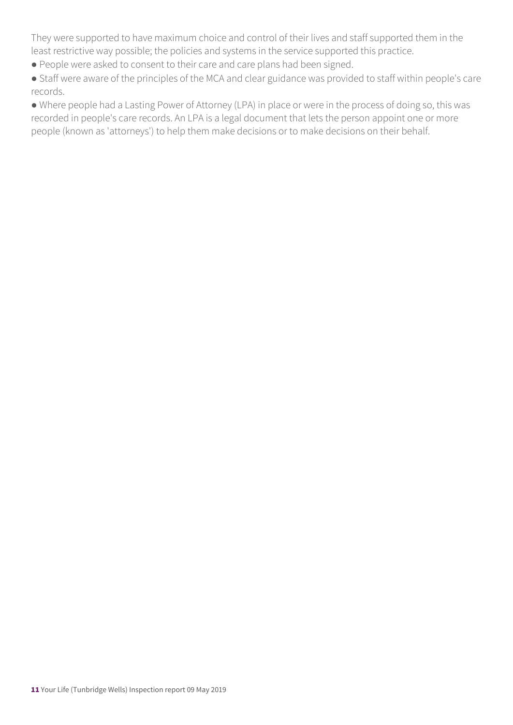They were supported to have maximum choice and control of their lives and staff supported them in the least restrictive way possible; the policies and systems in the service supported this practice.

- People were asked to consent to their care and care plans had been signed.
- Staff were aware of the principles of the MCA and clear guidance was provided to staff within people's care records.

● Where people had a Lasting Power of Attorney (LPA) in place or were in the process of doing so, this was recorded in people's care records. An LPA is a legal document that lets the person appoint one or more people (known as 'attorneys') to help them make decisions or to make decisions on their behalf.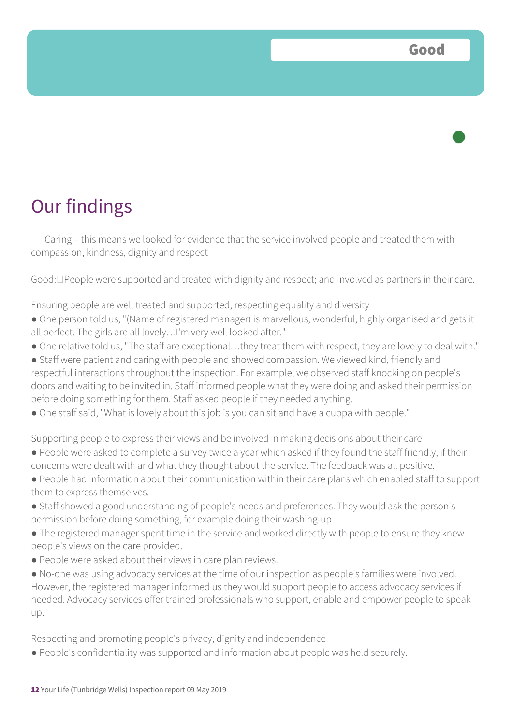### Our findings

Caring – this means we looked for evidence that the service involved people and treated them with compassion, kindness, dignity and respect

Good:  $\Box$  People were supported and treated with dignity and respect; and involved as partners in their care.

Ensuring people are well treated and supported; respecting equality and diversity

- One person told us, "(Name of registered manager) is marvellous, wonderful, highly organised and gets it all perfect. The girls are all lovely…I'm very well looked after."
- One relative told us, "The staff are exceptional…they treat them with respect, they are lovely to deal with."
- Staff were patient and caring with people and showed compassion. We viewed kind, friendly and respectful interactions throughout the inspection. For example, we observed staff knocking on people's doors and waiting to be invited in. Staff informed people what they were doing and asked their permission before doing something for them. Staff asked people if they needed anything.
- One staff said, "What is lovely about this job is you can sit and have a cuppa with people."

Supporting people to express their views and be involved in making decisions about their care ● People were asked to complete a survey twice a year which asked if they found the staff friendly, if their concerns were dealt with and what they thought about the service. The feedback was all positive.

- People had information about their communication within their care plans which enabled staff to support them to express themselves.
- Staff showed a good understanding of people's needs and preferences. They would ask the person's permission before doing something, for example doing their washing-up.
- The registered manager spent time in the service and worked directly with people to ensure they knew people's views on the care provided.
- People were asked about their views in care plan reviews.
- No-one was using advocacy services at the time of our inspection as people's families were involved. However, the registered manager informed us they would support people to access advocacy services if needed. Advocacy services offer trained professionals who support, enable and empower people to speak up.

Respecting and promoting people's privacy, dignity and independence

● People's confidentiality was supported and information about people was held securely.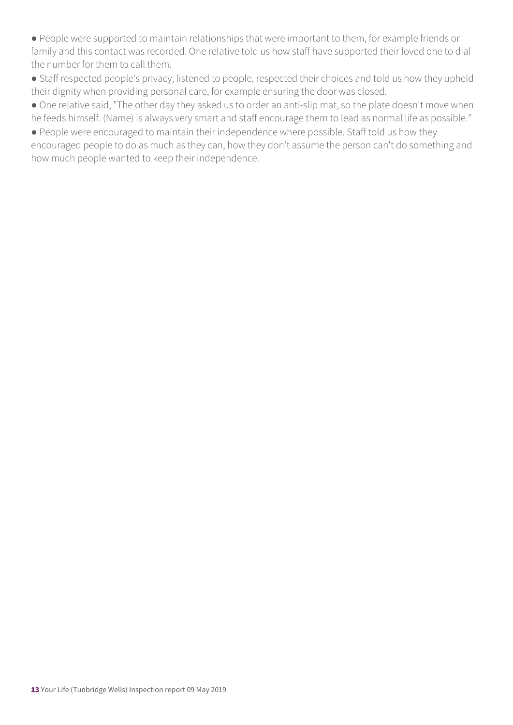● People were supported to maintain relationships that were important to them, for example friends or family and this contact was recorded. One relative told us how staff have supported their loved one to dial the number for them to call them.

● Staff respected people's privacy, listened to people, respected their choices and told us how they upheld their dignity when providing personal care, for example ensuring the door was closed.

● One relative said, "The other day they asked us to order an anti-slip mat, so the plate doesn't move when he feeds himself. (Name) is always very smart and staff encourage them to lead as normal life as possible."

● People were encouraged to maintain their independence where possible. Staff told us how they encouraged people to do as much as they can, how they don't assume the person can't do something and how much people wanted to keep their independence.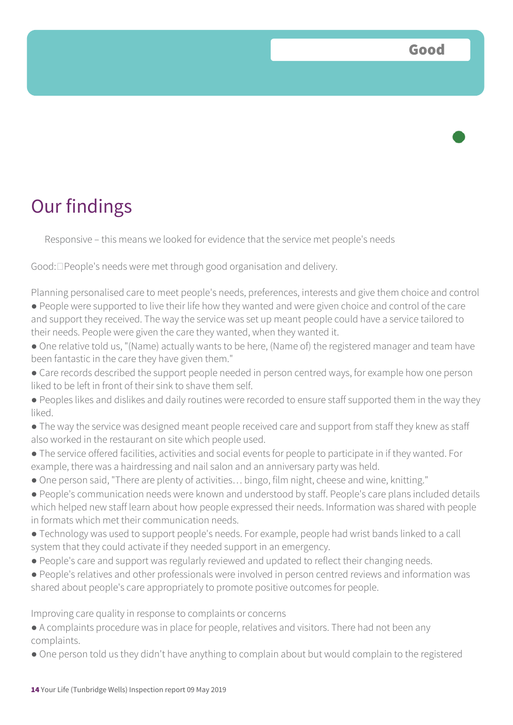### Our findings

Responsive – this means we looked for evidence that the service met people's needs

Good:  $\Box$  People's needs were met through good organisation and delivery.

Planning personalised care to meet people's needs, preferences, interests and give them choice and control

- People were supported to live their life how they wanted and were given choice and control of the care and support they received. The way the service was set up meant people could have a service tailored to their needs. People were given the care they wanted, when they wanted it.
- One relative told us, "(Name) actually wants to be here, (Name of) the registered manager and team have been fantastic in the care they have given them."
- Care records described the support people needed in person centred ways, for example how one person liked to be left in front of their sink to shave them self.
- Peoples likes and dislikes and daily routines were recorded to ensure staff supported them in the way they liked.
- The way the service was designed meant people received care and support from staff they knew as staff also worked in the restaurant on site which people used.
- The service offered facilities, activities and social events for people to participate in if they wanted. For example, there was a hairdressing and nail salon and an anniversary party was held.
- One person said, "There are plenty of activities… bingo, film night, cheese and wine, knitting."
- People's communication needs were known and understood by staff. People's care plans included details which helped new staff learn about how people expressed their needs. Information was shared with people in formats which met their communication needs.
- Technology was used to support people's needs. For example, people had wrist bands linked to a call system that they could activate if they needed support in an emergency.
- People's care and support was regularly reviewed and updated to reflect their changing needs.
- People's relatives and other professionals were involved in person centred reviews and information was shared about people's care appropriately to promote positive outcomes for people.

Improving care quality in response to complaints or concerns

- A complaints procedure was in place for people, relatives and visitors. There had not been any complaints.
- One person told us they didn't have anything to complain about but would complain to the registered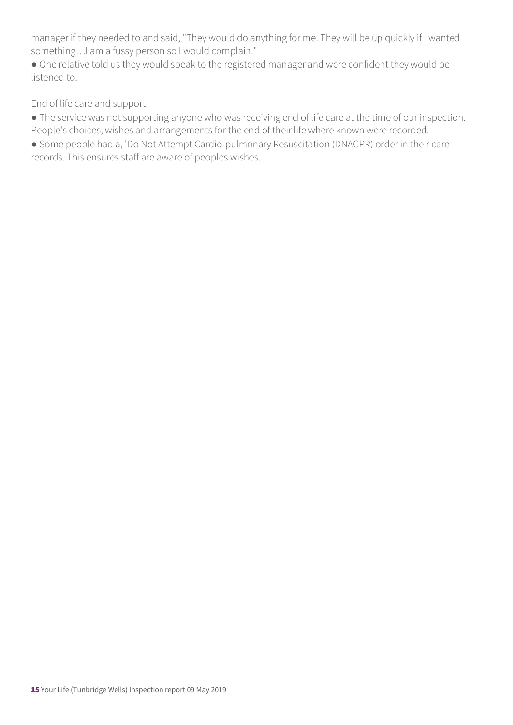manager if they needed to and said, "They would do anything for me. They will be up quickly if I wanted something…I am a fussy person so I would complain."

● One relative told us they would speak to the registered manager and were confident they would be listened to.

End of life care and support

● The service was not supporting anyone who was receiving end of life care at the time of our inspection. People's choices, wishes and arrangements for the end of their life where known were recorded.

● Some people had a, 'Do Not Attempt Cardio-pulmonary Resuscitation (DNACPR) order in their care records. This ensures staff are aware of peoples wishes.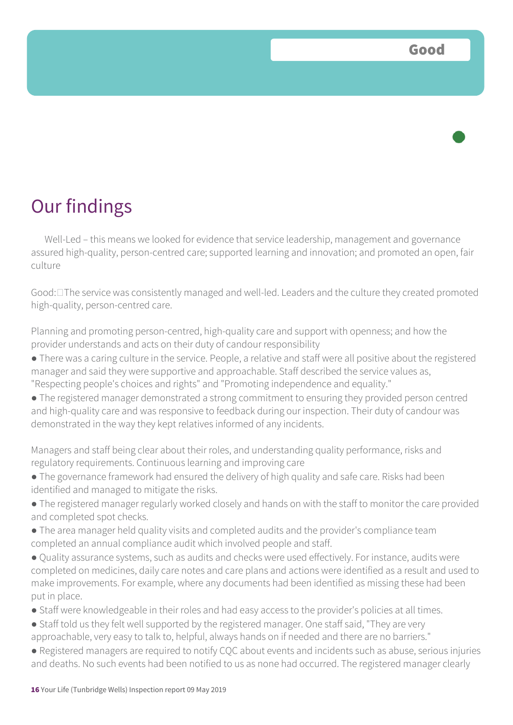

Well-Led – this means we looked for evidence that service leadership, management and governance assured high-quality, person-centred care; supported learning and innovation; and promoted an open, fair culture

Good:  $\Box$  The service was consistently managed and well-led. Leaders and the culture they created promoted high-quality, person-centred care.

Planning and promoting person-centred, high-quality care and support with openness; and how the provider understands and acts on their duty of candour responsibility

- There was a caring culture in the service. People, a relative and staff were all positive about the registered manager and said they were supportive and approachable. Staff described the service values as, "Respecting people's choices and rights" and "Promoting independence and equality."
- The registered manager demonstrated a strong commitment to ensuring they provided person centred and high-quality care and was responsive to feedback during our inspection. Their duty of candour was demonstrated in the way they kept relatives informed of any incidents.

Managers and staff being clear about their roles, and understanding quality performance, risks and regulatory requirements. Continuous learning and improving care

- The governance framework had ensured the delivery of high quality and safe care. Risks had been identified and managed to mitigate the risks.
- The registered manager regularly worked closely and hands on with the staff to monitor the care provided and completed spot checks.
- The area manager held quality visits and completed audits and the provider's compliance team completed an annual compliance audit which involved people and staff.
- Quality assurance systems, such as audits and checks were used effectively. For instance, audits were completed on medicines, daily care notes and care plans and actions were identified as a result and used to make improvements. For example, where any documents had been identified as missing these had been put in place.
- Staff were knowledgeable in their roles and had easy access to the provider's policies at all times.
- Staff told us they felt well supported by the registered manager. One staff said, "They are very approachable, very easy to talk to, helpful, always hands on if needed and there are no barriers."
- Registered managers are required to notify CQC about events and incidents such as abuse, serious injuries and deaths. No such events had been notified to us as none had occurred. The registered manager clearly